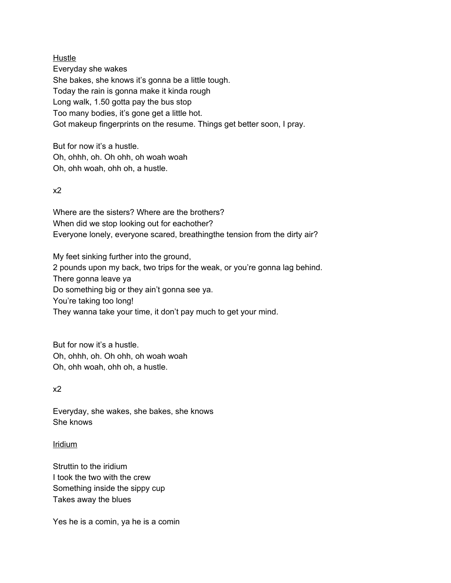Hustle

Everyday she wakes She bakes, she knows it's gonna be a little tough. Today the rain is gonna make it kinda rough Long walk, 1.50 gotta pay the bus stop Too many bodies, it's gone get a little hot. Got makeup fingerprints on the resume. Things get better soon, I pray.

But for now it's a hustle. Oh, ohhh, oh. Oh ohh, oh woah woah Oh, ohh woah, ohh oh, a hustle.

## x2

Where are the sisters? Where are the brothers? When did we stop looking out for eachother? Everyone lonely, everyone scared, breathingthe tension from the dirty air?

My feet sinking further into the ground, 2 pounds upon my back, two trips for the weak, or you're gonna lag behind. There gonna leave ya Do something big or they ain't gonna see ya. You're taking too long! They wanna take your time, it don't pay much to get your mind.

But for now it's a hustle. Oh, ohhh, oh. Oh ohh, oh woah woah Oh, ohh woah, ohh oh, a hustle.

### x2

Everyday, she wakes, she bakes, she knows She knows

### Iridium

Struttin to the iridium I took the two with the crew Something inside the sippy cup Takes away the blues

Yes he is a comin, ya he is a comin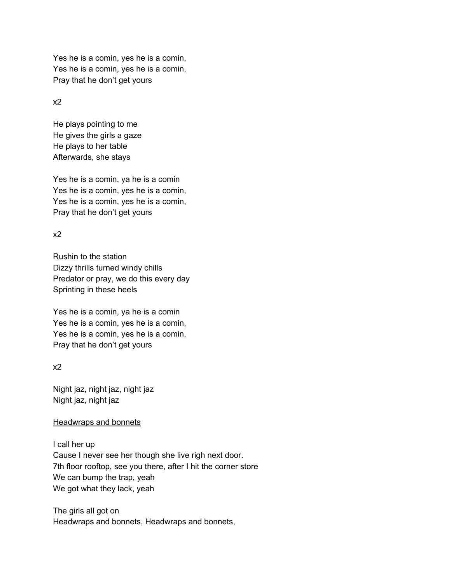Yes he is a comin, yes he is a comin, Pray that he don't get yours Yes he is a comin, yes he is a comin,

x2

 He plays pointing to me He gives the girls a gaze He plays to her table Afterwards, she stays

 Yes he is a comin, ya he is a comin Pray that he don't get yours Yes he is a comin, yes he is a comin, Yes he is a comin, yes he is a comin,

x2

 Rushin to the station Dizzy thrills turned windy chills Predator or pray, we do this every day Sprinting in these heels

 Yes he is a comin, ya he is a comin Pray that he don't get yours Yes he is a comin, yes he is a comin, Yes he is a comin, yes he is a comin,

x2

 Night jaz, night jaz, night jaz Night jaz, night jaz

### Headwraps and bonnets

 I call her up Cause I never see her though she live righ next door. 7th floor rooftop, see you there, after I hit the corner store We can bump the trap, yeah We got what they lack, yeah

 The girls all got on Headwraps and bonnets, Headwraps and bonnets,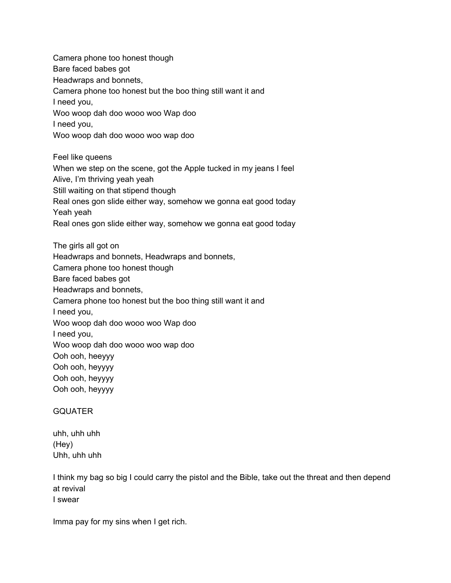Camera phone too honest though Bare faced babes got Headwraps and bonnets, Camera phone too honest but the boo thing still want it and I need you, Woo woop dah doo wooo woo Wap doo I need you, Woo woop dah doo wooo woo wap doo Feel like queens When we step on the scene, got the Apple tucked in my jeans I feel Alive, I'm thriving yeah yeah Still waiting on that stipend though Real ones gon slide either way, somehow we gonna eat good today The girls all got on Headwraps and bonnets, Headwraps and bonnets, Camera phone too honest though Bare faced babes got Headwraps and bonnets, Camera phone too honest but the boo thing still want it and I need you, Woo woop dah doo wooo woo Wap doo I need you, Woo woop dah doo wooo woo wap doo Ooh ooh, heeyyy Ooh ooh, heyyyy Ooh ooh, heyyyy Ooh ooh, heyyyy Yeah yeah Real ones gon slide either way, somehow we gonna eat good today

#### GQUATER

 uhh, uhh uhh Uhh, uhh uhh (Hey)

 I think my bag so big I could carry the pistol and the Bible, take out the threat and then depend at revival I swear

Imma pay for my sins when I get rich.